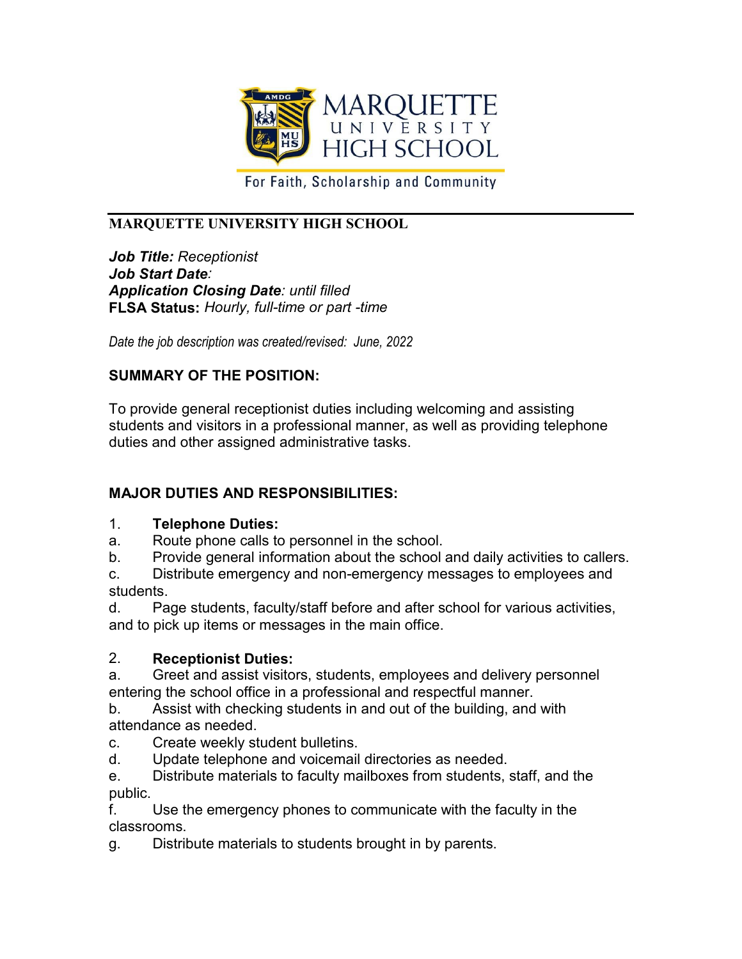

For Faith, Scholarship and Community

# **MARQUETTE UNIVERSITY HIGH SCHOOL**

*Job Title: Receptionist Job Start Date: Application Closing Date: until filled* **FLSA Status:** *Hourly, full-time or part -time*

*Date the job description was created/revised: June, 2022*

## **SUMMARY OF THE POSITION:**

To provide general receptionist duties including welcoming and assisting students and visitors in a professional manner, as well as providing telephone duties and other assigned administrative tasks.

## **MAJOR DUTIES AND RESPONSIBILITIES:**

#### 1. **Telephone Duties:**

- a. Route phone calls to personnel in the school.
- b. Provide general information about the school and daily activities to callers.
- c. Distribute emergency and non-emergency messages to employees and students.

d. Page students, faculty/staff before and after school for various activities, and to pick up items or messages in the main office.

#### 2. **Receptionist Duties:**

a. Greet and assist visitors, students, employees and delivery personnel entering the school office in a professional and respectful manner.

b. Assist with checking students in and out of the building, and with attendance as needed.

- c. Create weekly student bulletins.
- d. Update telephone and voicemail directories as needed.

e. Distribute materials to faculty mailboxes from students, staff, and the public.

f. Use the emergency phones to communicate with the faculty in the classrooms.

g. Distribute materials to students brought in by parents.